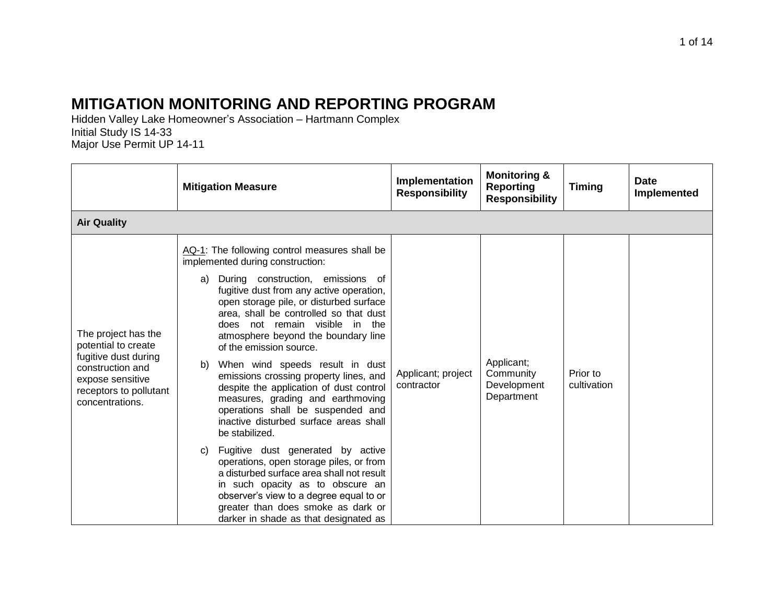## **MITIGATION MONITORING AND REPORTING PROGRAM**

Hidden Valley Lake Homeowner's Association – Hartmann Complex Initial Study IS 14-33 Major Use Permit UP 14-11

|                                                                                                                                                         | <b>Mitigation Measure</b>                                                                                                                                                                                                                                                                                                                                                                                                                                                                                                                                                                                                                                                                                                                                                                                                                                                                                                              | Implementation<br><b>Responsibility</b> | <b>Monitoring &amp;</b><br><b>Reporting</b><br><b>Responsibility</b> | <b>Timing</b>           | <b>Date</b><br>Implemented |
|---------------------------------------------------------------------------------------------------------------------------------------------------------|----------------------------------------------------------------------------------------------------------------------------------------------------------------------------------------------------------------------------------------------------------------------------------------------------------------------------------------------------------------------------------------------------------------------------------------------------------------------------------------------------------------------------------------------------------------------------------------------------------------------------------------------------------------------------------------------------------------------------------------------------------------------------------------------------------------------------------------------------------------------------------------------------------------------------------------|-----------------------------------------|----------------------------------------------------------------------|-------------------------|----------------------------|
| <b>Air Quality</b>                                                                                                                                      |                                                                                                                                                                                                                                                                                                                                                                                                                                                                                                                                                                                                                                                                                                                                                                                                                                                                                                                                        |                                         |                                                                      |                         |                            |
| The project has the<br>potential to create<br>fugitive dust during<br>construction and<br>expose sensitive<br>receptors to pollutant<br>concentrations. | AQ-1: The following control measures shall be<br>implemented during construction:<br>During construction, emissions of<br>a)<br>fugitive dust from any active operation,<br>open storage pile, or disturbed surface<br>area, shall be controlled so that dust<br>does not remain visible in the<br>atmosphere beyond the boundary line<br>of the emission source.<br>When wind speeds result in dust<br>b)<br>emissions crossing property lines, and<br>despite the application of dust control<br>measures, grading and earthmoving<br>operations shall be suspended and<br>inactive disturbed surface areas shall<br>be stabilized.<br>Fugitive dust generated by active<br>C)<br>operations, open storage piles, or from<br>a disturbed surface area shall not result<br>in such opacity as to obscure an<br>observer's view to a degree equal to or<br>greater than does smoke as dark or<br>darker in shade as that designated as | Applicant; project<br>contractor        | Applicant;<br>Community<br>Development<br>Department                 | Prior to<br>cultivation |                            |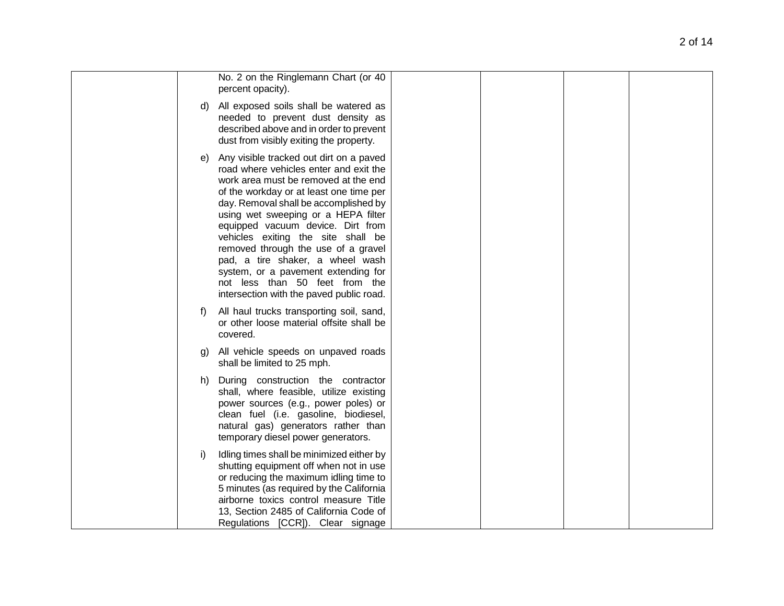|         | No. 2 on the Ringlemann Chart (or 40<br>percent opacity).                                                                                                                                                                                                                                                                                                                                                                                                                                                                       |  |  |
|---------|---------------------------------------------------------------------------------------------------------------------------------------------------------------------------------------------------------------------------------------------------------------------------------------------------------------------------------------------------------------------------------------------------------------------------------------------------------------------------------------------------------------------------------|--|--|
| d)      | All exposed soils shall be watered as<br>needed to prevent dust density as<br>described above and in order to prevent<br>dust from visibly exiting the property.                                                                                                                                                                                                                                                                                                                                                                |  |  |
| e)      | Any visible tracked out dirt on a paved<br>road where vehicles enter and exit the<br>work area must be removed at the end<br>of the workday or at least one time per<br>day. Removal shall be accomplished by<br>using wet sweeping or a HEPA filter<br>equipped vacuum device. Dirt from<br>vehicles exiting the site shall be<br>removed through the use of a gravel<br>pad, a tire shaker, a wheel wash<br>system, or a pavement extending for<br>not less than 50 feet from the<br>intersection with the paved public road. |  |  |
| t)      | All haul trucks transporting soil, sand,<br>or other loose material offsite shall be<br>covered.                                                                                                                                                                                                                                                                                                                                                                                                                                |  |  |
| g)      | All vehicle speeds on unpaved roads<br>shall be limited to 25 mph.                                                                                                                                                                                                                                                                                                                                                                                                                                                              |  |  |
| h)      | During construction the contractor<br>shall, where feasible, utilize existing<br>power sources (e.g., power poles) or<br>clean fuel (i.e. gasoline, biodiesel,<br>natural gas) generators rather than<br>temporary diesel power generators.                                                                                                                                                                                                                                                                                     |  |  |
| $\vert$ | Idling times shall be minimized either by<br>shutting equipment off when not in use<br>or reducing the maximum idling time to<br>5 minutes (as required by the California<br>airborne toxics control measure Title<br>13, Section 2485 of California Code of<br>Regulations [CCR]). Clear signage                                                                                                                                                                                                                               |  |  |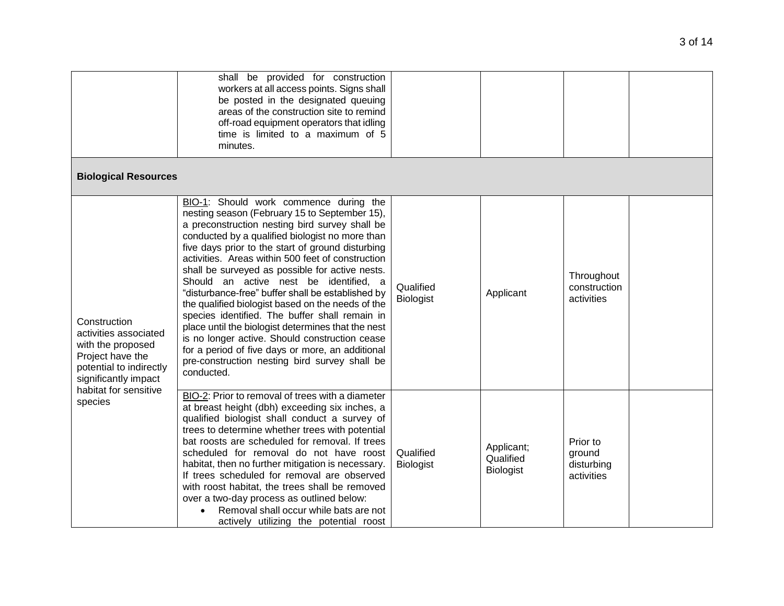|                                                                                                                                                            | shall be provided for construction<br>workers at all access points. Signs shall<br>be posted in the designated queuing<br>areas of the construction site to remind<br>off-road equipment operators that idling<br>time is limited to a maximum of 5<br>minutes.                                                                                                                                                                                                                                                                                                                                                                                                                                                                                                                            |                               |                                             |                                                |  |
|------------------------------------------------------------------------------------------------------------------------------------------------------------|--------------------------------------------------------------------------------------------------------------------------------------------------------------------------------------------------------------------------------------------------------------------------------------------------------------------------------------------------------------------------------------------------------------------------------------------------------------------------------------------------------------------------------------------------------------------------------------------------------------------------------------------------------------------------------------------------------------------------------------------------------------------------------------------|-------------------------------|---------------------------------------------|------------------------------------------------|--|
| <b>Biological Resources</b>                                                                                                                                |                                                                                                                                                                                                                                                                                                                                                                                                                                                                                                                                                                                                                                                                                                                                                                                            |                               |                                             |                                                |  |
| Construction<br>activities associated<br>with the proposed<br>Project have the<br>potential to indirectly<br>significantly impact<br>habitat for sensitive | BIO-1: Should work commence during the<br>nesting season (February 15 to September 15),<br>a preconstruction nesting bird survey shall be<br>conducted by a qualified biologist no more than<br>five days prior to the start of ground disturbing<br>activities. Areas within 500 feet of construction<br>shall be surveyed as possible for active nests.<br>Should an active nest be identified, a<br>"disturbance-free" buffer shall be established by<br>the qualified biologist based on the needs of the<br>species identified. The buffer shall remain in<br>place until the biologist determines that the nest<br>is no longer active. Should construction cease<br>for a period of five days or more, an additional<br>pre-construction nesting bird survey shall be<br>conducted. | Qualified<br><b>Biologist</b> | Applicant                                   | Throughout<br>construction<br>activities       |  |
| species                                                                                                                                                    | BIO-2: Prior to removal of trees with a diameter<br>at breast height (dbh) exceeding six inches, a<br>qualified biologist shall conduct a survey of<br>trees to determine whether trees with potential<br>bat roosts are scheduled for removal. If trees<br>scheduled for removal do not have roost<br>habitat, then no further mitigation is necessary.<br>If trees scheduled for removal are observed<br>with roost habitat, the trees shall be removed<br>over a two-day process as outlined below:<br>Removal shall occur while bats are not<br>actively utilizing the potential roost                                                                                                                                                                                                 | Qualified<br><b>Biologist</b> | Applicant;<br>Qualified<br><b>Biologist</b> | Prior to<br>ground<br>disturbing<br>activities |  |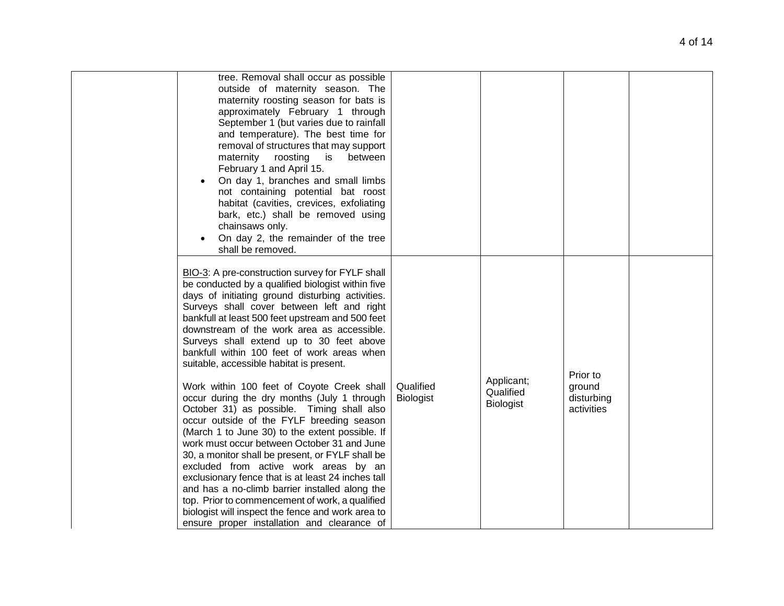| tree. Removal shall occur as possible<br>outside of maternity season. The<br>maternity roosting season for bats is<br>approximately February 1 through<br>September 1 (but varies due to rainfall<br>and temperature). The best time for<br>removal of structures that may support<br>maternity roosting is<br>between<br>February 1 and April 15.<br>On day 1, branches and small limbs<br>not containing potential bat roost<br>habitat (cavities, crevices, exfoliating<br>bark, etc.) shall be removed using<br>chainsaws only.<br>On day 2, the remainder of the tree<br>shall be removed.                                                    |                               |                                             |                                    |  |
|----------------------------------------------------------------------------------------------------------------------------------------------------------------------------------------------------------------------------------------------------------------------------------------------------------------------------------------------------------------------------------------------------------------------------------------------------------------------------------------------------------------------------------------------------------------------------------------------------------------------------------------------------|-------------------------------|---------------------------------------------|------------------------------------|--|
| BIO-3: A pre-construction survey for FYLF shall<br>be conducted by a qualified biologist within five<br>days of initiating ground disturbing activities.<br>Surveys shall cover between left and right<br>bankfull at least 500 feet upstream and 500 feet<br>downstream of the work area as accessible.<br>Surveys shall extend up to 30 feet above<br>bankfull within 100 feet of work areas when<br>suitable, accessible habitat is present.                                                                                                                                                                                                    |                               |                                             | Prior to                           |  |
| Work within 100 feet of Coyote Creek shall<br>occur during the dry months (July 1 through<br>October 31) as possible. Timing shall also<br>occur outside of the FYLF breeding season<br>(March 1 to June 30) to the extent possible. If<br>work must occur between October 31 and June<br>30, a monitor shall be present, or FYLF shall be<br>excluded from active work areas by an<br>exclusionary fence that is at least 24 inches tall<br>and has a no-climb barrier installed along the<br>top. Prior to commencement of work, a qualified<br>biologist will inspect the fence and work area to<br>ensure proper installation and clearance of | Qualified<br><b>Biologist</b> | Applicant;<br>Qualified<br><b>Biologist</b> | ground<br>disturbing<br>activities |  |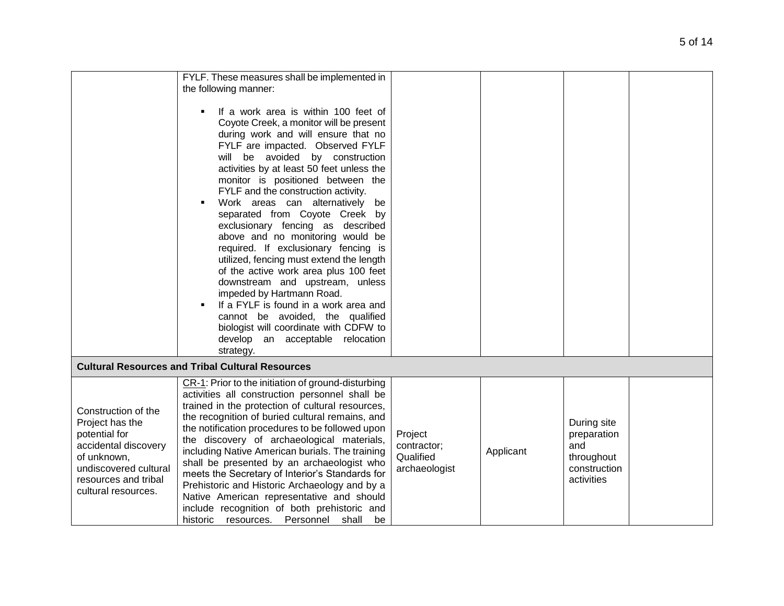|                                                                                                                                                                        | FYLF. These measures shall be implemented in                                                                                                                                                                                                                                                                                                                                                                                                                                                                                                                                                                                                                                                                                                                                                                                 |                                                      |           |                                                                               |  |
|------------------------------------------------------------------------------------------------------------------------------------------------------------------------|------------------------------------------------------------------------------------------------------------------------------------------------------------------------------------------------------------------------------------------------------------------------------------------------------------------------------------------------------------------------------------------------------------------------------------------------------------------------------------------------------------------------------------------------------------------------------------------------------------------------------------------------------------------------------------------------------------------------------------------------------------------------------------------------------------------------------|------------------------------------------------------|-----------|-------------------------------------------------------------------------------|--|
|                                                                                                                                                                        | the following manner:                                                                                                                                                                                                                                                                                                                                                                                                                                                                                                                                                                                                                                                                                                                                                                                                        |                                                      |           |                                                                               |  |
|                                                                                                                                                                        | If a work area is within 100 feet of<br>Coyote Creek, a monitor will be present<br>during work and will ensure that no<br>FYLF are impacted. Observed FYLF<br>will be avoided by construction<br>activities by at least 50 feet unless the<br>monitor is positioned between the<br>FYLF and the construction activity.<br>Work areas can alternatively be<br>separated from Coyote Creek by<br>exclusionary fencing as described<br>above and no monitoring would be<br>required. If exclusionary fencing is<br>utilized, fencing must extend the length<br>of the active work area plus 100 feet<br>downstream and upstream, unless<br>impeded by Hartmann Road.<br>If a FYLF is found in a work area and<br>cannot be avoided, the qualified<br>biologist will coordinate with CDFW to<br>develop an acceptable relocation |                                                      |           |                                                                               |  |
|                                                                                                                                                                        | strategy.                                                                                                                                                                                                                                                                                                                                                                                                                                                                                                                                                                                                                                                                                                                                                                                                                    |                                                      |           |                                                                               |  |
|                                                                                                                                                                        | <b>Cultural Resources and Tribal Cultural Resources</b>                                                                                                                                                                                                                                                                                                                                                                                                                                                                                                                                                                                                                                                                                                                                                                      |                                                      |           |                                                                               |  |
| Construction of the<br>Project has the<br>potential for<br>accidental discovery<br>of unknown,<br>undiscovered cultural<br>resources and tribal<br>cultural resources. | CR-1: Prior to the initiation of ground-disturbing<br>activities all construction personnel shall be<br>trained in the protection of cultural resources,<br>the recognition of buried cultural remains, and<br>the notification procedures to be followed upon<br>the discovery of archaeological materials,<br>including Native American burials. The training<br>shall be presented by an archaeologist who<br>meets the Secretary of Interior's Standards for<br>Prehistoric and Historic Archaeology and by a<br>Native American representative and should<br>include recognition of both prehistoric and<br>historic resources. Personnel shall<br>be                                                                                                                                                                   | Project<br>contractor;<br>Qualified<br>archaeologist | Applicant | During site<br>preparation<br>and<br>throughout<br>construction<br>activities |  |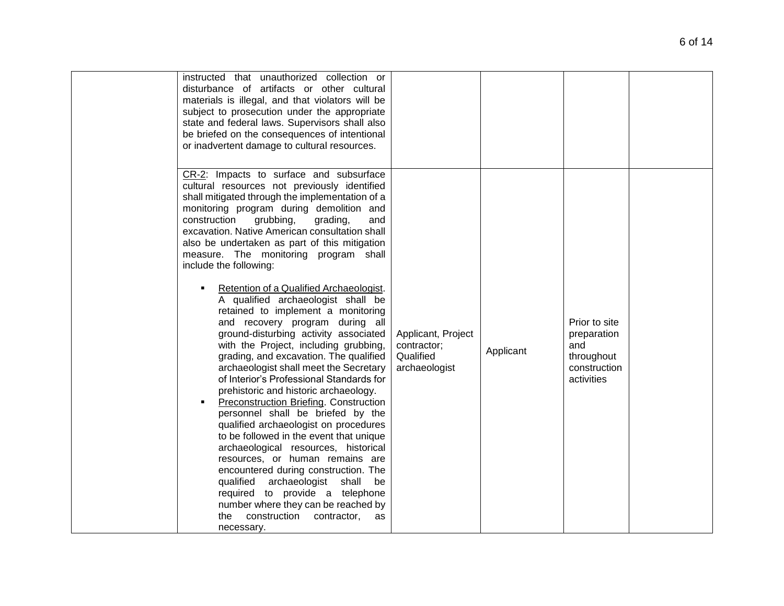| instructed that unauthorized collection or<br>disturbance of artifacts or other cultural<br>materials is illegal, and that violators will be<br>subject to prosecution under the appropriate<br>state and federal laws. Supervisors shall also<br>be briefed on the consequences of intentional<br>or inadvertent damage to cultural resources.                                                                                                                                                                                                                                                                                                                                                                                                                                                                                                                                                                                                                                                                                                                                                                                                                                                                                                                                                                |                                                                 |           |                                                                                 |  |
|----------------------------------------------------------------------------------------------------------------------------------------------------------------------------------------------------------------------------------------------------------------------------------------------------------------------------------------------------------------------------------------------------------------------------------------------------------------------------------------------------------------------------------------------------------------------------------------------------------------------------------------------------------------------------------------------------------------------------------------------------------------------------------------------------------------------------------------------------------------------------------------------------------------------------------------------------------------------------------------------------------------------------------------------------------------------------------------------------------------------------------------------------------------------------------------------------------------------------------------------------------------------------------------------------------------|-----------------------------------------------------------------|-----------|---------------------------------------------------------------------------------|--|
| CR-2: Impacts to surface and subsurface<br>cultural resources not previously identified<br>shall mitigated through the implementation of a<br>monitoring program during demolition and<br>grubbing,<br>construction<br>grading,<br>and<br>excavation. Native American consultation shall<br>also be undertaken as part of this mitigation<br>measure. The monitoring program shall<br>include the following:<br>Retention of a Qualified Archaeologist.<br>٠<br>A qualified archaeologist shall be<br>retained to implement a monitoring<br>and recovery program during all<br>ground-disturbing activity associated<br>with the Project, including grubbing,<br>grading, and excavation. The qualified<br>archaeologist shall meet the Secretary<br>of Interior's Professional Standards for<br>prehistoric and historic archaeology.<br><b>Preconstruction Briefing. Construction</b><br>personnel shall be briefed by the<br>qualified archaeologist on procedures<br>to be followed in the event that unique<br>archaeological resources, historical<br>resources, or human remains are<br>encountered during construction. The<br>qualified archaeologist shall<br>be<br>required to provide a telephone<br>number where they can be reached by<br>construction<br>the<br>contractor,<br>as<br>necessary. | Applicant, Project<br>contractor;<br>Qualified<br>archaeologist | Applicant | Prior to site<br>preparation<br>and<br>throughout<br>construction<br>activities |  |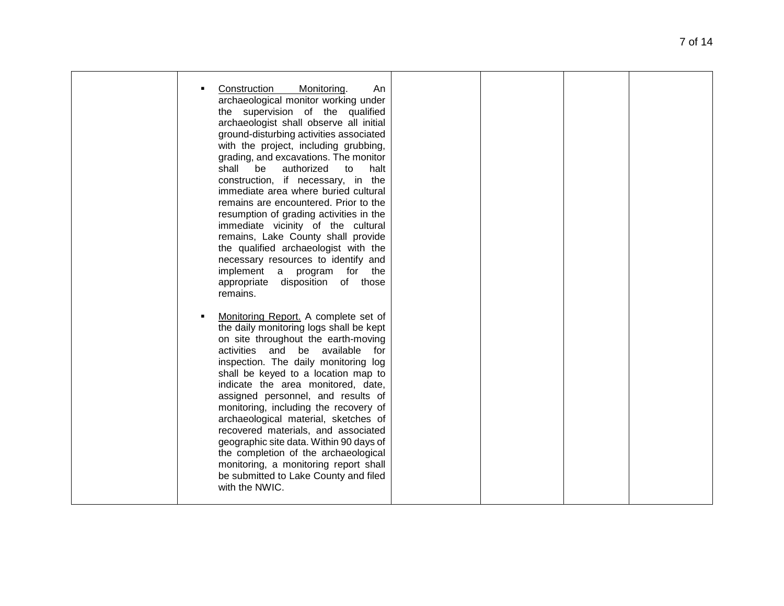|  | Construction<br>Monitoring.<br>An<br>archaeological monitor working under<br>the supervision of the qualified<br>archaeologist shall observe all initial<br>ground-disturbing activities associated<br>with the project, including grubbing,<br>grading, and excavations. The monitor<br>shall<br>be<br>authorized<br>to<br>halt<br>construction, if necessary, in the<br>immediate area where buried cultural<br>remains are encountered. Prior to the<br>resumption of grading activities in the<br>immediate vicinity of the cultural<br>remains, Lake County shall provide<br>the qualified archaeologist with the<br>necessary resources to identify and<br>implement a program for the<br>appropriate disposition of those<br>remains. |  |  |
|--|----------------------------------------------------------------------------------------------------------------------------------------------------------------------------------------------------------------------------------------------------------------------------------------------------------------------------------------------------------------------------------------------------------------------------------------------------------------------------------------------------------------------------------------------------------------------------------------------------------------------------------------------------------------------------------------------------------------------------------------------|--|--|
|  | Monitoring Report. A complete set of<br>the daily monitoring logs shall be kept<br>on site throughout the earth-moving<br>activities and be available<br>for<br>inspection. The daily monitoring log<br>shall be keyed to a location map to<br>indicate the area monitored, date,<br>assigned personnel, and results of<br>monitoring, including the recovery of<br>archaeological material, sketches of<br>recovered materials, and associated<br>geographic site data. Within 90 days of<br>the completion of the archaeological<br>monitoring, a monitoring report shall<br>be submitted to Lake County and filed<br>with the NWIC.                                                                                                       |  |  |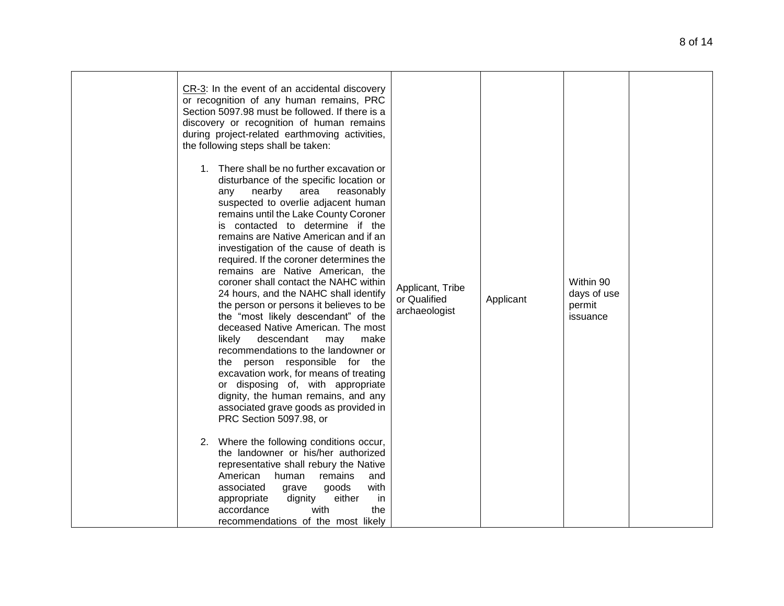| CR-3: In the event of an accidental discovery<br>or recognition of any human remains, PRC<br>Section 5097.98 must be followed. If there is a<br>discovery or recognition of human remains<br>during project-related earthmoving activities,<br>the following steps shall be taken:<br>1. There shall be no further excavation or<br>disturbance of the specific location or<br>nearby<br>area<br>reasonably<br>any<br>suspected to overlie adjacent human<br>remains until the Lake County Coroner<br>is contacted to determine if the<br>remains are Native American and if an<br>investigation of the cause of death is<br>required. If the coroner determines the<br>remains are Native American, the<br>coroner shall contact the NAHC within<br>24 hours, and the NAHC shall identify<br>the person or persons it believes to be<br>the "most likely descendant" of the<br>deceased Native American. The most<br>likely<br>descendant<br>may<br>make<br>recommendations to the landowner or<br>the person responsible for the<br>excavation work, for means of treating<br>or disposing of, with appropriate<br>dignity, the human remains, and any<br>associated grave goods as provided in<br>PRC Section 5097.98, or<br>2. Where the following conditions occur,<br>the landowner or his/her authorized<br>representative shall rebury the Native<br>American<br>human<br>remains<br>and<br>goods<br>with<br>associated<br>grave<br>either<br>appropriate<br>dignity<br>in<br>with<br>accordance<br>the<br>recommendations of the most likely | Applicant, Tribe<br>or Qualified<br>archaeologist | Applicant | Within 90<br>days of use<br>permit<br>issuance |  |
|-------------------------------------------------------------------------------------------------------------------------------------------------------------------------------------------------------------------------------------------------------------------------------------------------------------------------------------------------------------------------------------------------------------------------------------------------------------------------------------------------------------------------------------------------------------------------------------------------------------------------------------------------------------------------------------------------------------------------------------------------------------------------------------------------------------------------------------------------------------------------------------------------------------------------------------------------------------------------------------------------------------------------------------------------------------------------------------------------------------------------------------------------------------------------------------------------------------------------------------------------------------------------------------------------------------------------------------------------------------------------------------------------------------------------------------------------------------------------------------------------------------------------------------------------------|---------------------------------------------------|-----------|------------------------------------------------|--|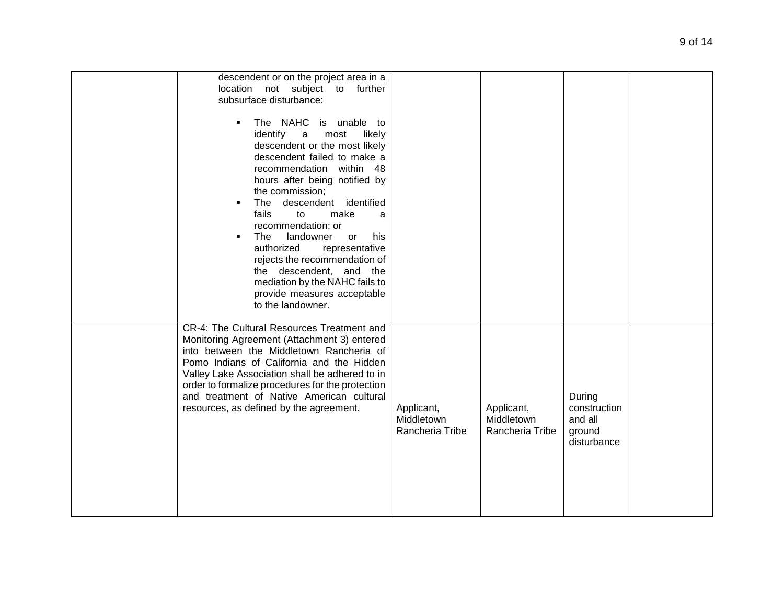| descendent or on the project area in a<br>location not subject to further<br>subsurface disturbance:<br>The NAHC is unable to<br>$\blacksquare$<br>identify<br>likely<br>most<br>a<br>descendent or the most likely<br>descendent failed to make a<br>recommendation within 48<br>hours after being notified by<br>the commission;<br>descendent identified<br>The<br>$\blacksquare$<br>fails<br>to<br>make<br>a<br>recommendation; or<br>The<br>landowner<br>his<br>٠<br>or<br>authorized<br>representative<br>rejects the recommendation of<br>the descendent, and the<br>mediation by the NAHC fails to<br>provide measures acceptable<br>to the landowner. |                                             |                                             |                                                            |  |
|----------------------------------------------------------------------------------------------------------------------------------------------------------------------------------------------------------------------------------------------------------------------------------------------------------------------------------------------------------------------------------------------------------------------------------------------------------------------------------------------------------------------------------------------------------------------------------------------------------------------------------------------------------------|---------------------------------------------|---------------------------------------------|------------------------------------------------------------|--|
| CR-4: The Cultural Resources Treatment and<br>Monitoring Agreement (Attachment 3) entered<br>into between the Middletown Rancheria of<br>Pomo Indians of California and the Hidden<br>Valley Lake Association shall be adhered to in<br>order to formalize procedures for the protection<br>and treatment of Native American cultural<br>resources, as defined by the agreement.                                                                                                                                                                                                                                                                               | Applicant,<br>Middletown<br>Rancheria Tribe | Applicant,<br>Middletown<br>Rancheria Tribe | During<br>construction<br>and all<br>ground<br>disturbance |  |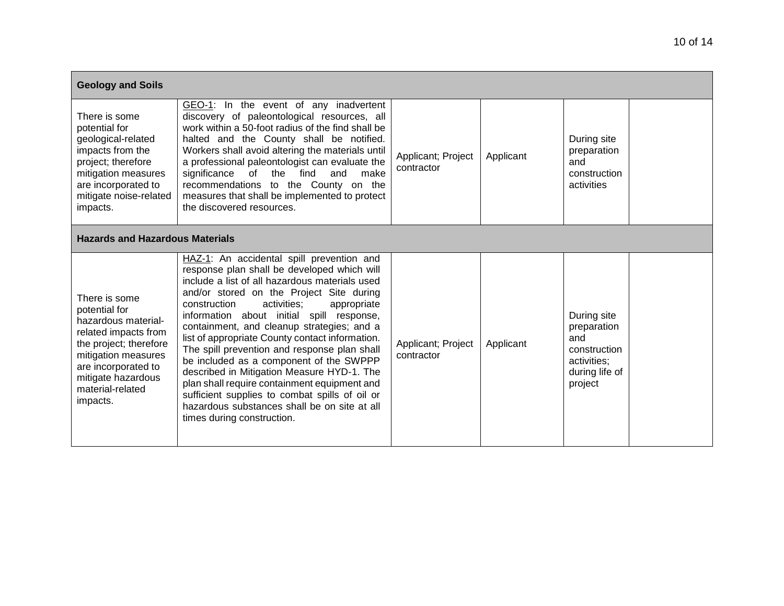| <b>Geology and Soils</b>                                                                                                                                                                                    |                                                                                                                                                                                                                                                                                                                                                                                                                                                                                                                                                                                                                                                                                                             |                                  |           |                                                                                               |  |  |  |
|-------------------------------------------------------------------------------------------------------------------------------------------------------------------------------------------------------------|-------------------------------------------------------------------------------------------------------------------------------------------------------------------------------------------------------------------------------------------------------------------------------------------------------------------------------------------------------------------------------------------------------------------------------------------------------------------------------------------------------------------------------------------------------------------------------------------------------------------------------------------------------------------------------------------------------------|----------------------------------|-----------|-----------------------------------------------------------------------------------------------|--|--|--|
| There is some<br>potential for<br>geological-related<br>impacts from the<br>project; therefore<br>mitigation measures<br>are incorporated to<br>mitigate noise-related<br>impacts.                          | GEO-1: In the event of any inadvertent<br>discovery of paleontological resources, all<br>work within a 50-foot radius of the find shall be<br>halted and the County shall be notified.<br>Workers shall avoid altering the materials until<br>a professional paleontologist can evaluate the<br>of<br>the<br>significance<br>find<br>and<br>make<br>recommendations to the County on the<br>measures that shall be implemented to protect<br>the discovered resources.                                                                                                                                                                                                                                      | Applicant; Project<br>contractor | Applicant | During site<br>preparation<br>and<br>construction<br>activities                               |  |  |  |
| <b>Hazards and Hazardous Materials</b>                                                                                                                                                                      |                                                                                                                                                                                                                                                                                                                                                                                                                                                                                                                                                                                                                                                                                                             |                                  |           |                                                                                               |  |  |  |
| There is some<br>potential for<br>hazardous material-<br>related impacts from<br>the project; therefore<br>mitigation measures<br>are incorporated to<br>mitigate hazardous<br>material-related<br>impacts. | HAZ-1: An accidental spill prevention and<br>response plan shall be developed which will<br>include a list of all hazardous materials used<br>and/or stored on the Project Site during<br>construction<br>activities:<br>appropriate<br>information about initial spill response,<br>containment, and cleanup strategies; and a<br>list of appropriate County contact information.<br>The spill prevention and response plan shall<br>be included as a component of the SWPPP<br>described in Mitigation Measure HYD-1. The<br>plan shall require containment equipment and<br>sufficient supplies to combat spills of oil or<br>hazardous substances shall be on site at all<br>times during construction. | Applicant; Project<br>contractor | Applicant | During site<br>preparation<br>and<br>construction<br>activities;<br>during life of<br>project |  |  |  |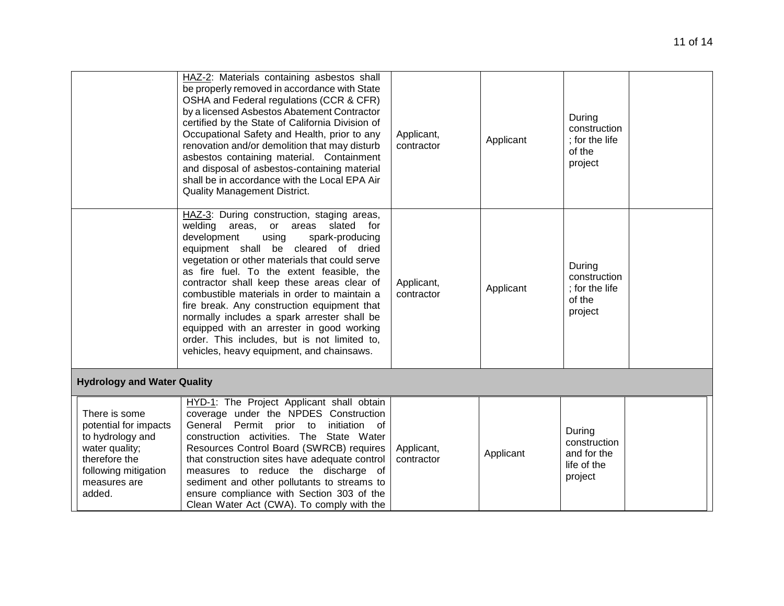|                                                                                                                                                 | HAZ-2: Materials containing asbestos shall<br>be properly removed in accordance with State<br>OSHA and Federal regulations (CCR & CFR)<br>by a licensed Asbestos Abatement Contractor<br>certified by the State of California Division of<br>Occupational Safety and Health, prior to any<br>renovation and/or demolition that may disturb<br>asbestos containing material. Containment<br>and disposal of asbestos-containing material<br>shall be in accordance with the Local EPA Air<br><b>Quality Management District.</b>                                                                            | Applicant,<br>contractor | Applicant | During<br>construction<br>; for the life<br>of the<br>project   |  |
|-------------------------------------------------------------------------------------------------------------------------------------------------|------------------------------------------------------------------------------------------------------------------------------------------------------------------------------------------------------------------------------------------------------------------------------------------------------------------------------------------------------------------------------------------------------------------------------------------------------------------------------------------------------------------------------------------------------------------------------------------------------------|--------------------------|-----------|-----------------------------------------------------------------|--|
|                                                                                                                                                 | HAZ-3: During construction, staging areas,<br>welding areas, or areas slated<br>for<br>development<br>using<br>spark-producing<br>equipment shall be cleared of dried<br>vegetation or other materials that could serve<br>as fire fuel. To the extent feasible, the<br>contractor shall keep these areas clear of<br>combustible materials in order to maintain a<br>fire break. Any construction equipment that<br>normally includes a spark arrester shall be<br>equipped with an arrester in good working<br>order. This includes, but is not limited to,<br>vehicles, heavy equipment, and chainsaws. | Applicant,<br>contractor | Applicant | During<br>construction<br>: for the life<br>of the<br>project   |  |
| <b>Hydrology and Water Quality</b>                                                                                                              |                                                                                                                                                                                                                                                                                                                                                                                                                                                                                                                                                                                                            |                          |           |                                                                 |  |
| There is some<br>potential for impacts<br>to hydrology and<br>water quality;<br>therefore the<br>following mitigation<br>measures are<br>added. | HYD-1: The Project Applicant shall obtain<br>coverage under the NPDES Construction<br>General Permit prior to<br>initiation of<br>construction activities. The State Water<br>Resources Control Board (SWRCB) requires<br>that construction sites have adequate control<br>measures to reduce the discharge of<br>sediment and other pollutants to streams to<br>ensure compliance with Section 303 of the<br>Clean Water Act (CWA). To comply with the                                                                                                                                                    | Applicant,<br>contractor | Applicant | During<br>construction<br>and for the<br>life of the<br>project |  |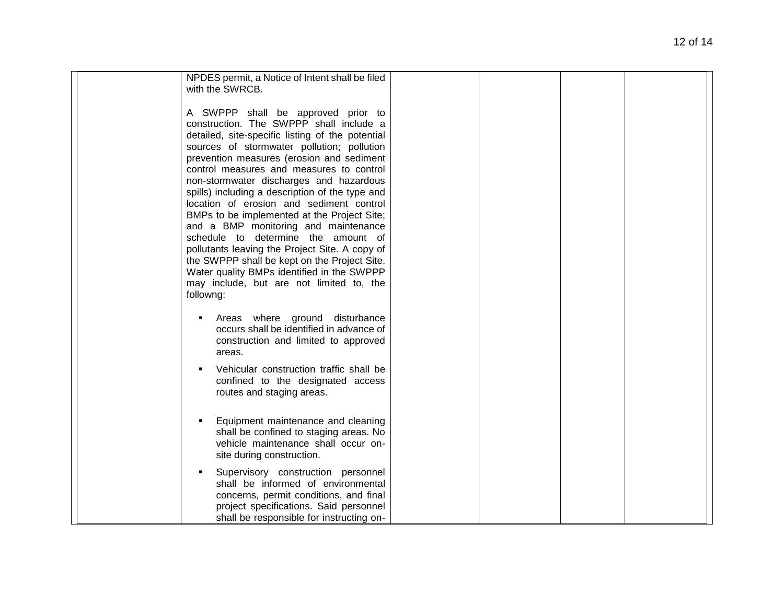| NPDES permit, a Notice of Intent shall be filed  |  |
|--------------------------------------------------|--|
| with the SWRCB.                                  |  |
|                                                  |  |
| A SWPPP shall be approved prior to               |  |
|                                                  |  |
| construction. The SWPPP shall include a          |  |
| detailed, site-specific listing of the potential |  |
| sources of stormwater pollution; pollution       |  |
| prevention measures (erosion and sediment        |  |
| control measures and measures to control         |  |
| non-stormwater discharges and hazardous          |  |
|                                                  |  |
| spills) including a description of the type and  |  |
| location of erosion and sediment control         |  |
| BMPs to be implemented at the Project Site;      |  |
| and a BMP monitoring and maintenance             |  |
| schedule to determine the amount of              |  |
| pollutants leaving the Project Site. A copy of   |  |
|                                                  |  |
| the SWPPP shall be kept on the Project Site.     |  |
| Water quality BMPs identified in the SWPPP       |  |
| may include, but are not limited to, the         |  |
| followng:                                        |  |
|                                                  |  |
| Areas where ground disturbance                   |  |
| occurs shall be identified in advance of         |  |
|                                                  |  |
| construction and limited to approved             |  |
| areas.                                           |  |
| Vehicular construction traffic shall be          |  |
|                                                  |  |
| confined to the designated access                |  |
| routes and staging areas.                        |  |
|                                                  |  |
|                                                  |  |
| Equipment maintenance and cleaning               |  |
| shall be confined to staging areas. No           |  |
| vehicle maintenance shall occur on-              |  |
| site during construction.                        |  |
|                                                  |  |
| Supervisory construction personnel               |  |
| shall be informed of environmental               |  |
| concerns, permit conditions, and final           |  |
| project specifications. Said personnel           |  |
| shall be responsible for instructing on-         |  |
|                                                  |  |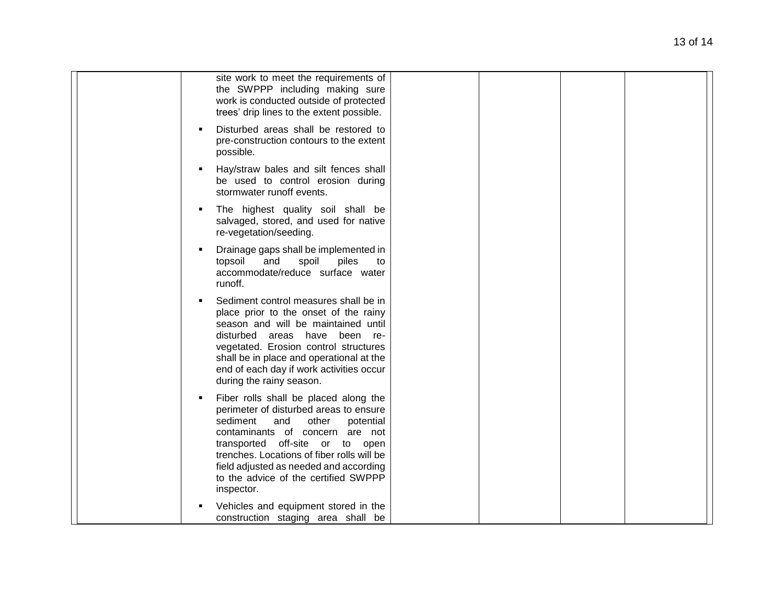| site work to meet the requirements of<br>the SWPPP including making sure<br>work is conducted outside of protected<br>trees' drip lines to the extent possible.                                                                                                                                                                              |
|----------------------------------------------------------------------------------------------------------------------------------------------------------------------------------------------------------------------------------------------------------------------------------------------------------------------------------------------|
| Disturbed areas shall be restored to<br>pre-construction contours to the extent<br>possible.                                                                                                                                                                                                                                                 |
| Hay/straw bales and silt fences shall<br>be used to control erosion during<br>stormwater runoff events.                                                                                                                                                                                                                                      |
| The highest quality soil shall be<br>salvaged, stored, and used for native<br>re-vegetation/seeding.                                                                                                                                                                                                                                         |
| Drainage gaps shall be implemented in<br>piles<br>topsoil<br>and<br>spoil<br>to<br>accommodate/reduce surface water<br>runoff.                                                                                                                                                                                                               |
| Sediment control measures shall be in<br>place prior to the onset of the rainy<br>season and will be maintained until<br>disturbed areas have been re-<br>vegetated. Erosion control structures<br>shall be in place and operational at the<br>end of each day if work activities occur<br>during the rainy season.                          |
| Fiber rolls shall be placed along the<br>perimeter of disturbed areas to ensure<br>sediment<br>and<br>other<br>potential<br>contaminants of concern are not<br>transported off-site or to open<br>trenches. Locations of fiber rolls will be<br>field adjusted as needed and according<br>to the advice of the certified SWPPP<br>inspector. |
| Vehicles and equipment stored in the<br>construction staging area shall be                                                                                                                                                                                                                                                                   |